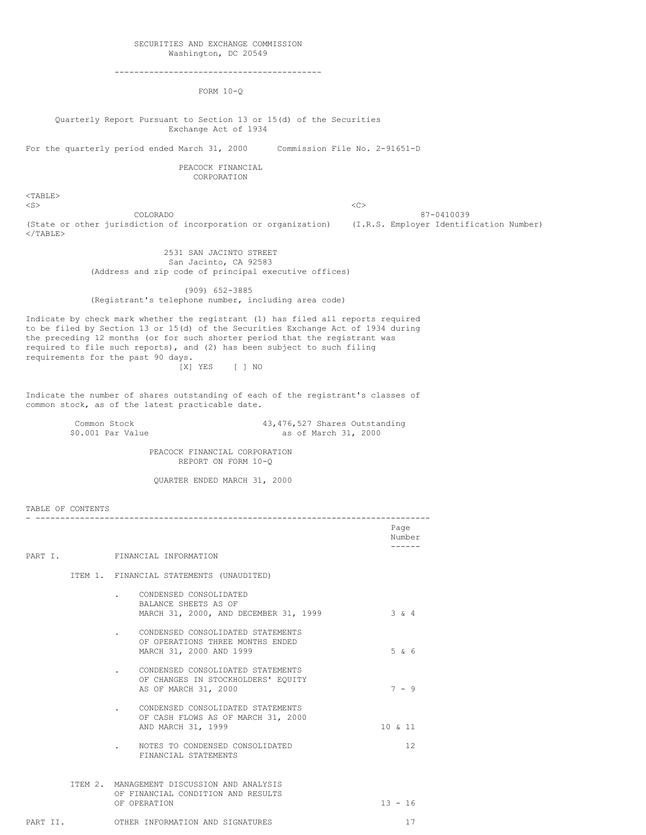#### SECURITIES AND EXCHANGE COMMISSION Washington, DC 20549

------------------------------------------

FORM 10-Q

Quarterly Report Pursuant to Section 13 or 15(d) of the Securities Exchange Act of 1934

For the quarterly period ended March 31, 2000 Commission File No. 2-91651-D

PEACOCK FINANCIAL CORPORATION

<TABLE>  $\langle$ S>  $\langle$ C>

TABLE OF CONTENTS

COLORADO 87-0410039 (State or other jurisdiction of incorporation or organization) (I.R.S. Employer Identification Number)  $<$ /TABLE $>$ 

2531 SAN JACINTO STREET San Jacinto, CA 92583 (Address and zip code of principal executive offices)

(909) 652-3885 (Registrant's telephone number, including area code)

Indicate by check mark whether the registrant (1) has filed all reports required to be filed by Section 13 or 15(d) of the Securities Exchange Act of 1934 during the preceding 12 months (or for such shorter period that the registrant was required to file such reports), and (2) has been subject to such filing requirements for the past 90 days. [X] YES [ ] NO

Indicate the number of shares outstanding of each of the registrant's classes of common stock, as of the latest practicable date.

Common Stock 43,476,527 Shares Outstanding<br>
\$0.001 Par Value as of March 31, 2000

as of March 31, 2000

PEACOCK FINANCIAL CORPORATION REPORT ON FORM 10-Q

QUARTER ENDED MARCH 31, 2000

|          |                                                                                                  | Page<br>Number |
|----------|--------------------------------------------------------------------------------------------------|----------------|
|          | PART I. FINANCIAL INFORMATION                                                                    | ------         |
|          | ITEM 1. FINANCIAL STATEMENTS (UNAUDITED)                                                         |                |
|          | CONDENSED CONSOLIDATED<br>BALANCE SHEETS AS OF<br>MARCH 31, 2000, AND DECEMBER 31, 1999          | $3 \times 4$   |
|          | CONDENSED CONSOLIDATED STATEMENTS<br>OF OPERATIONS THREE MONTHS ENDED<br>MARCH 31, 2000 AND 1999 | 5 & 6          |
|          | CONDENSED CONSOLIDATED STATEMENTS<br>OF CHANGES IN STOCKHOLDERS' EOUITY<br>AS OF MARCH 31, 2000  | $7 - 9$        |
|          | CONDENSED CONSOLIDATED STATEMENTS<br>OF CASH FLOWS AS OF MARCH 31, 2000<br>AND MARCH 31, 1999    | 10 & 11        |
|          | NOTES TO CONDENSED CONSOLIDATED<br>FINANCIAL STATEMENTS                                          | 12             |
|          | ITEM 2. MANAGEMENT DISCUSSION AND ANALYSIS<br>OF FINANCIAL CONDITION AND RESULTS<br>OF OPERATION | $13 - 16$      |
| PART II. | OTHER INFORMATION AND SIGNATURES                                                                 | 17             |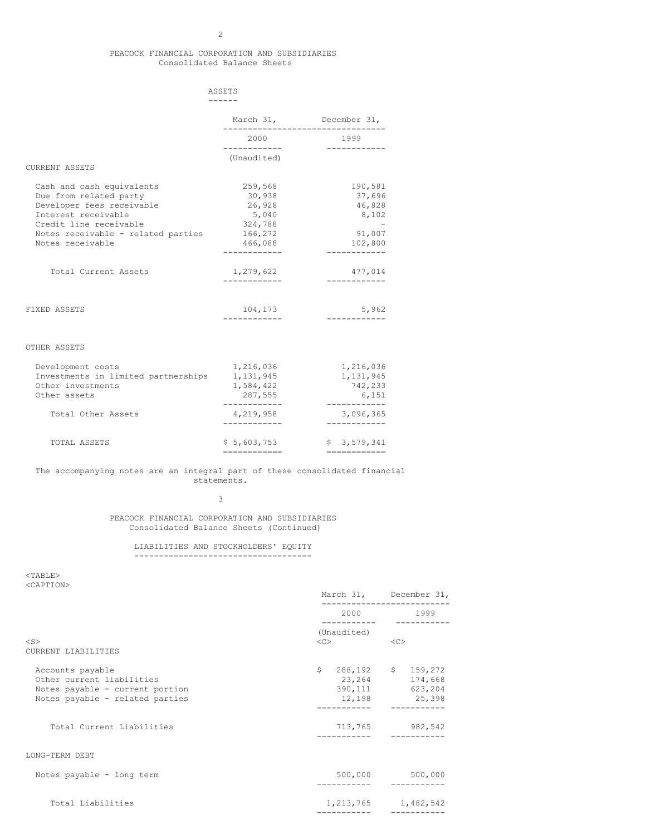# PEACOCK FINANCIAL CORPORATION AND SUBSIDIARIES Consolidated Balance Sheets

|                                                                                                                                                                                             | ASSETS                                                                |                                                                         |
|---------------------------------------------------------------------------------------------------------------------------------------------------------------------------------------------|-----------------------------------------------------------------------|-------------------------------------------------------------------------|
|                                                                                                                                                                                             |                                                                       | March 31, December 31,                                                  |
|                                                                                                                                                                                             | 2000<br>____________                                                  | 1999<br>----------                                                      |
| <b>CURRENT ASSETS</b>                                                                                                                                                                       | (Unaudited)                                                           |                                                                         |
| Cash and cash equivalents<br>Due from related party<br>Developer fees receivable<br>Interest receivable<br>Credit line receivable<br>Notes receivable - related parties<br>Notes receivable | 259,568<br>30,938<br>26,928<br>5,040<br>324,788<br>166,272<br>466,088 | 190,581<br>37,696<br>46,828<br>8,102<br>91,007<br>102,800<br>---------- |
| Total Current Assets                                                                                                                                                                        | 1,279,622                                                             | 477,014                                                                 |
| FIXED ASSETS                                                                                                                                                                                | 104,173                                                               | 5,962                                                                   |
| OTHER ASSETS                                                                                                                                                                                |                                                                       |                                                                         |
| Development costs<br>Investments in limited partnerships                                                                                                                                    | 1,216,036<br>1,131,945                                                | 1,216,036<br>1,131,945                                                  |

| TOTAL ASSETS                   | \$5.603.753 | \$3.579.341 |
|--------------------------------|-------------|-------------|
|                                |             |             |
| Total Other Assets             | 4.219.958   | 3,096,365   |
|                                |             |             |
| Other assets                   | 287,555     | 6,151       |
| Other investments              | 1.584.422   | 742,233     |
| INVOUCHICU IN IIMICU PUICHUIDU | 1117777     | 111011JIJ   |

# The accompanying notes are an integral part of these consolidated financial statements.

3

PEACOCK FINANCIAL CORPORATION AND SUBSIDIARIES Consolidated Balance Sheets (Continued)

LIABILITIES AND STOCKHOLDERS' EQUITY ------------------------------------

 $<$ TABLE> <CAPTION>

|                                                                                                                     |                                | March 31, December 31,                                                          |  |
|---------------------------------------------------------------------------------------------------------------------|--------------------------------|---------------------------------------------------------------------------------|--|
|                                                                                                                     |                                | 2000 1999                                                                       |  |
|                                                                                                                     | (Unaudited)                    |                                                                                 |  |
| $<$ S><br>CURRENT LIABILITIES                                                                                       | $\langle$ C> $\longrightarrow$ | <<                                                                              |  |
| Accounts payable<br>Other current liabilities<br>Notes payable - current portion<br>Notes payable - related parties |                                | $$288,192$ $$159,272$<br>23, 264 174, 668<br>390, 111 623, 204<br>12,198 25,398 |  |
| Total Current Liabilities                                                                                           |                                | 713,765 982,542                                                                 |  |
| LONG-TERM DEBT                                                                                                      |                                |                                                                                 |  |
| Notes payable - long term                                                                                           |                                | 500,000 500,000                                                                 |  |
| Total Liabilities                                                                                                   | -----------                    | 1, 213, 765 1, 482, 542<br>----------                                           |  |
|                                                                                                                     |                                |                                                                                 |  |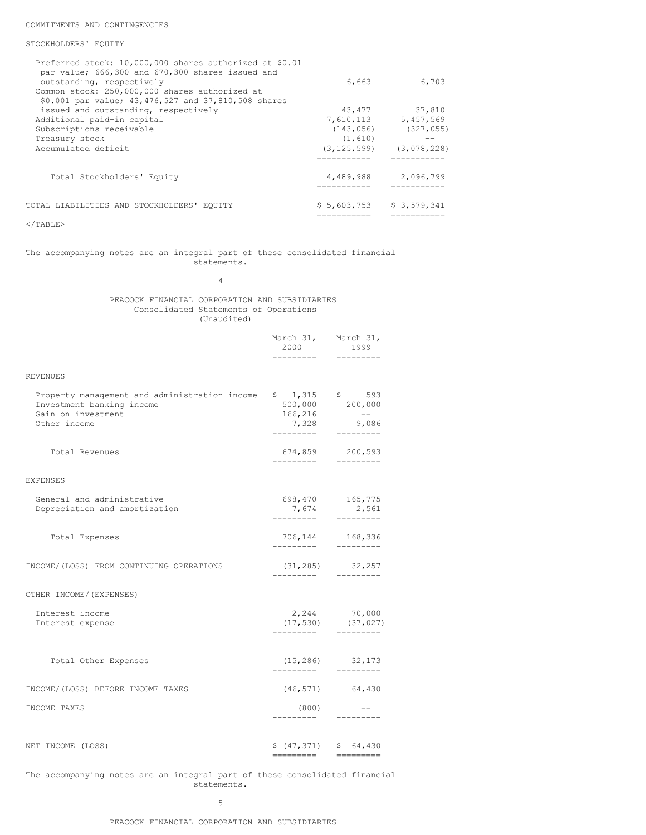## COMMITMENTS AND CONTINGENCIES

### STOCKHOLDERS' EQUITY

| Preferred stock: 10,000,000 shares authorized at \$0.01<br>par value; 666,300 and 670,300 shares issued and |               |             |
|-------------------------------------------------------------------------------------------------------------|---------------|-------------|
| outstanding, respectively                                                                                   | 6,663         | 6,703       |
| Common stock: 250,000,000 shares authorized at<br>\$0.001 par value; 43,476,527 and 37,810,508 shares       |               |             |
| issued and outstanding, respectively                                                                        | 43,477        | 37,810      |
| Additional paid-in capital                                                                                  | 7,610,113     | 5,457,569   |
| Subscriptions receivable                                                                                    | (143, 056)    | (327, 055)  |
| Treasury stock                                                                                              | (1, 610)      |             |
| Accumulated deficit                                                                                         | (3, 125, 599) | (3,078,228) |
|                                                                                                             |               |             |
| Total Stockholders' Equity                                                                                  | 4,489,988     | 2,096,799   |
| TOTAL LIABILITIES AND STOCKHOLDERS' EOUITY                                                                  | \$5,603,753   | \$3,579,341 |
|                                                                                                             |               |             |

# $<$ /TABLE>

### The accompanying notes are an integral part of these consolidated financial statements.

4

# PEACOCK FINANCIAL CORPORATION AND SUBSIDIARIES Consolidated Statements of Operations (Unaudited)

|                                                                                                                                                        | March 31, March 31,<br>2000<br>--------- | 1999<br>---------                                    |
|--------------------------------------------------------------------------------------------------------------------------------------------------------|------------------------------------------|------------------------------------------------------|
| REVENUES                                                                                                                                               |                                          |                                                      |
| Property management and administration income $$1,315$ $$593$<br>Investment banking income $$500,000$ $$200,000$<br>Gain on investment<br>Other income | 166,216<br>7,328<br>----------           | $  \,$<br>9,086<br>$- - - - - - -$                   |
| Total Revenues                                                                                                                                         | ----------                               | 674,859 200,593<br>--------                          |
| EXPENSES                                                                                                                                               |                                          |                                                      |
| General and administrative<br>Depreciation and amortization                                                                                            | _________                                | 698,470 165,775<br>7,674 2,561<br>$- - - - - - - -$  |
| Total Expenses                                                                                                                                         | ----------                               | 706,144 168,336<br>---------                         |
| INCOME/(LOSS) FROM CONTINUING OPERATIONS                                                                                                               | ----------                               | $(31, 285)$ 32, 257                                  |
| OTHER INCOME/ (EXPENSES)                                                                                                                               |                                          |                                                      |
| Interest income<br>Interest expense                                                                                                                    | ----------                               | 2,244 70,000<br>$(17, 530)$ $(37, 027)$<br>--------- |
| Total Other Expenses                                                                                                                                   |                                          | $(15, 286)$ 32, 173                                  |
| INCOME/(LOSS) BEFORE INCOME TAXES                                                                                                                      |                                          | $(46, 571)$ 64,430                                   |
| INCOME TAXES                                                                                                                                           | (800)<br>---------                       | ---------                                            |
| NET INCOME (LOSS)                                                                                                                                      |                                          | $$ (47, 371)$ $$ 64, 430$                            |

The accompanying notes are an integral part of these consolidated financial statements.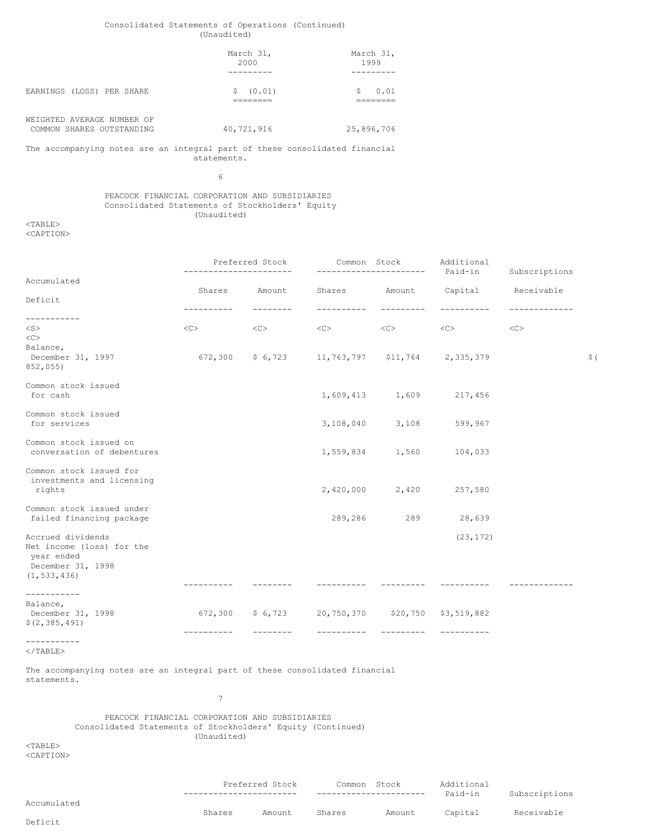# Consolidated Statements of Operations (Continued) (Unaudited)

|                                                         | March 31,<br>2000 | March 31,<br>1999 |
|---------------------------------------------------------|-------------------|-------------------|
| EARNINGS (LOSS) PER SHARE                               | (0.01)            | 0.01<br>S         |
| WEIGHTED AVERAGE NUMBER OF<br>COMMON SHARES OUTSTANDING | 40,721,916        | 25,896,706        |

The accompanying notes are an integral part of these consolidated financial statements.

6

## PEACOCK FINANCIAL CORPORATION AND SUBSIDIARIES Consolidated Statements of Stockholders' Equity (Unaudited)

<TABLE> <CAPTION>

|                                                                                                    |            | Preferred Stock |                                                  |                     | Common Stock Additional<br>----------------------    Paid-in | Subscriptions |                 |
|----------------------------------------------------------------------------------------------------|------------|-----------------|--------------------------------------------------|---------------------|--------------------------------------------------------------|---------------|-----------------|
| Accumulated                                                                                        |            | Amount          |                                                  |                     |                                                              |               |                 |
| Deficit                                                                                            | Shares     |                 |                                                  |                     | Shares Amount Capital Receivable                             |               |                 |
| -----------<br>$<$ S $>$<br><<                                                                     | $<\infty$  | <<>             | <<>                                              | $\langle C \rangle$ | <<>                                                          | <<            |                 |
| Balance,<br>December 31, 1997<br>852,055)                                                          |            |                 | $672,300$ \$ 6,723 11,763,797 \$11,764 2,335,379 |                     |                                                              |               | $\frac{1}{2}$ ( |
| Common stock issued<br>for cash                                                                    |            |                 |                                                  | 1,609,413 1,609     | 217,456                                                      |               |                 |
| Common stock issued<br>for services                                                                |            |                 |                                                  | 3,108,040 3,108     | 599,967                                                      |               |                 |
| Common stock issued on<br>conversation of debentures                                               |            |                 |                                                  | 1,559,834 1,560     | 104,033                                                      |               |                 |
| Common stock issued for<br>investments and licensing<br>rights                                     |            |                 |                                                  | 2,420,000 2,420     | 257,580                                                      |               |                 |
| Common stock issued under<br>failed financing package                                              |            |                 | 289,286                                          | 289                 | 28,639                                                       |               |                 |
| Accrued dividends<br>Net income (loss) for the<br>year ended<br>December 31, 1998<br>(1, 533, 436) |            |                 |                                                  |                     | (23, 172)                                                    |               |                 |
| ------------                                                                                       |            |                 |                                                  |                     |                                                              |               |                 |
| Balance,<br>December 31, 1998<br>\$(2, 385, 491)                                                   |            |                 | 672,300 \$ 6,723 20,750,370 \$20,750 \$3,519,882 |                     |                                                              |               |                 |
| -----------                                                                                        | ---------- |                 |                                                  |                     |                                                              |               |                 |

 $<$ /TABLE>

The accompanying notes are an integral part of these consolidated financial statements.

> PEACOCK FINANCIAL CORPORATION AND SUBSIDIARIES Consolidated Statements of Stockholders' Equity (Continued) (Unaudited)

7

<TABLE> <CAPTION>

Preferred Stock Common Stock Additional

Deficit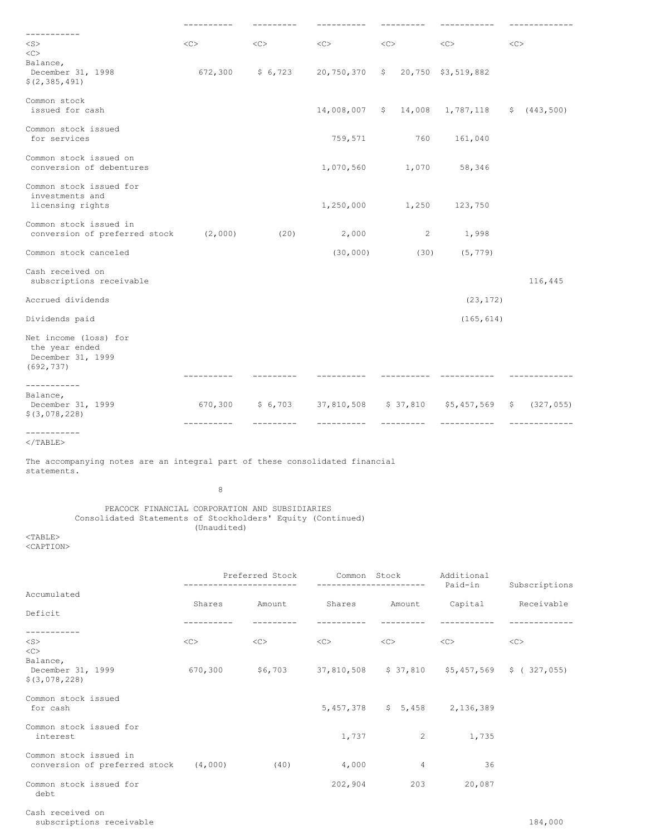|                                                                                                                             | ----------          |                    |                                         |                                         |                                                                                                             | -------------                                                |
|-----------------------------------------------------------------------------------------------------------------------------|---------------------|--------------------|-----------------------------------------|-----------------------------------------|-------------------------------------------------------------------------------------------------------------|--------------------------------------------------------------|
| -----------<br>$<$ S $>$                                                                                                    | <<                  | <<                 | $<<$ $>$                                | <<                                      | <<                                                                                                          | $<$ C>                                                       |
| <<>                                                                                                                         |                     |                    |                                         |                                         |                                                                                                             |                                                              |
| Balance,<br>December 31, 1998<br>\$(2, 385, 491)                                                                            |                     | $672,300$ \$ 6,723 |                                         | 20,750,370 \$ 20,750 \$3,519,882        |                                                                                                             |                                                              |
| Common stock<br>issued for cash                                                                                             |                     |                    |                                         |                                         | 14,008,007 \$ 14,008 1,787,118 \$ (443,500)                                                                 |                                                              |
| Common stock issued<br>for services                                                                                         |                     |                    | 759,571                                 | 760                                     | 161,040                                                                                                     |                                                              |
| Common stock issued on<br>conversion of debentures                                                                          |                     |                    | 1,070,560                               |                                         | 1,070 58,346                                                                                                |                                                              |
| Common stock issued for<br>investments and<br>licensing rights                                                              |                     |                    |                                         | 1,250,000 1,250                         | 123,750                                                                                                     |                                                              |
| Common stock issued in<br>conversion of preferred stock (2,000)                                                             |                     | (20)               | 2,000                                   | $2^{\circ}$                             | 1,998                                                                                                       |                                                              |
| Common stock canceled                                                                                                       |                     |                    | (30, 000)                               | (30)                                    | (5, 779)                                                                                                    |                                                              |
| Cash received on<br>subscriptions receivable                                                                                |                     |                    |                                         |                                         |                                                                                                             | 116,445                                                      |
| Accrued dividends                                                                                                           |                     |                    |                                         |                                         | (23, 172)                                                                                                   |                                                              |
| Dividends paid                                                                                                              |                     |                    |                                         |                                         | (165, 614)                                                                                                  |                                                              |
| Net income (loss) for<br>the year ended<br>December 31, 1999<br>(692, 737)                                                  |                     |                    |                                         |                                         |                                                                                                             |                                                              |
| -----------<br>Balance,<br>December 31, 1999<br>$$$ (3,078,228)                                                             | ----------          |                    |                                         |                                         |                                                                                                             | 670,300 \$6,703 37,810,508 \$37,810 \$5,457,569 \$ (327,055) |
| -----------<br>$\langle$ /TABLE>                                                                                            |                     |                    |                                         |                                         |                                                                                                             |                                                              |
| The accompanying notes are an integral part of these consolidated financial<br>statements.                                  |                     |                    |                                         |                                         |                                                                                                             |                                                              |
|                                                                                                                             | 8                   |                    |                                         |                                         |                                                                                                             |                                                              |
| PEACOCK FINANCIAL CORPORATION AND SUBSIDIARIES<br>Consolidated Statements of Stockholders' Equity (Continued)<br>$<$ TABLE> | (Unaudited)         |                    |                                         |                                         |                                                                                                             |                                                              |
| <caption></caption>                                                                                                         |                     |                    |                                         |                                         |                                                                                                             |                                                              |
|                                                                                                                             |                     |                    | Preferred Stock Common Stock Additional | -----------------------                 | Paid-in                                                                                                     | Subscriptions                                                |
| Accumulated                                                                                                                 |                     |                    |                                         |                                         | Shares Amount Shares Amount Capital Receivable                                                              |                                                              |
| Deficit<br>-----------                                                                                                      | -----------         | _________          | -----------                             | __________                              | -----------                                                                                                 | -------------                                                |
| $<$ S $>$<br><<>                                                                                                            | $\langle C \rangle$ | $<<$ $<$ $<$ $>$   |                                         | $\langle C \rangle$ $\langle C \rangle$ | $<<$ $>>$                                                                                                   | $<<$ C $>$                                                   |
| Balance,<br>December 31, 1999<br>\$ (3,078,228)                                                                             |                     |                    |                                         |                                         | 670,300 $\frac{1}{56}$ ,703 37,810,508 $\frac{1}{5}$ 37,810 $\frac{1}{56}$ ,457,569 $\frac{1}{5}$ (327,055) |                                                              |
| Common stock issued<br>for cash                                                                                             |                     |                    |                                         | $5,457,378$ $$5,458$ $2,136,389$        |                                                                                                             |                                                              |
| Common stock issued for<br>interest                                                                                         |                     |                    | 1,737                                   | $\overline{2}$                          | 1,735                                                                                                       |                                                              |

Common stock issued in conversion of preferred stock (4,000) (40) 4,000 4 4 36

Common stock issued for 202,904 203 20,087 debt

Cash received on

subscriptions receivable 184,000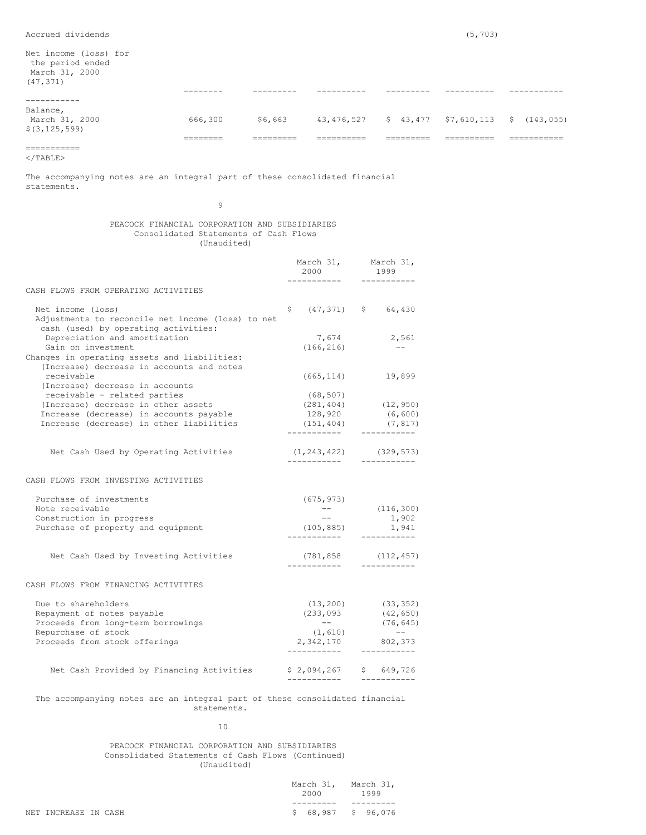Net income (loss) for the period ended March 31, 2000

| March 31, 2000<br>(47, 371)                   |                      |                      |            |           |            |                                                     |
|-----------------------------------------------|----------------------|----------------------|------------|-----------|------------|-----------------------------------------------------|
|                                               | --------             |                      |            |           |            |                                                     |
|                                               |                      |                      |            |           |            |                                                     |
| Balance,<br>March 31, 2000<br>\$(3, 125, 599) | 666,300              | \$6,663              |            |           |            | 43, 476, 527 \$ 43, 477 \$7, 610, 113 \$ (143, 055) |
|                                               | ________<br>________ | _______<br>_________ | __________ | _________ | __________ | ________                                            |
| ___________<br>___________                    |                      |                      |            |           |            |                                                     |

 $<$ /TABLE>

The accompanying notes are an integral part of these consolidated financial statements.

9

# PEACOCK FINANCIAL CORPORATION AND SUBSIDIARIES Consolidated Statements of Cash Flows (Unaudited)

| March 31,<br>2000                                          | March 31,<br>1999                                                                 |
|------------------------------------------------------------|-----------------------------------------------------------------------------------|
|                                                            |                                                                                   |
| S                                                          | $(47, 371)$ \$ 64,430                                                             |
| 7,674<br>(166, 216)                                        | 2,561<br>$--$                                                                     |
| (665, 114)                                                 | 19,899                                                                            |
| (68, 507)<br>128,920<br>(151, 404)                         | $(281, 404)$ $(12, 950)$<br>(6, 600)<br>(7, 817)<br>__________                    |
| (1, 243, 422)<br>-------------                             | (329, 573)<br>-----------                                                         |
|                                                            |                                                                                   |
| (675, 973)<br>$ -$<br>$- -$<br>(105, 885)<br>------------  | (116, 300)<br>1,902<br>1,941<br>__________                                        |
| (781, 858)<br>. <u>.</u>                                   | (112, 457)<br>-----------                                                         |
|                                                            |                                                                                   |
| (233, 093)<br>$ -$<br>(1, 610)<br>2,342,170<br>----------- | $(13, 200)$ $(33, 352)$<br>(42, 650)<br>(76, 645)<br>$--$<br>802,373<br>--------- |
| $$2,094,267$ $$649,726$                                    |                                                                                   |
|                                                            | -----------                                                                       |

# The accompanying notes are an integral part of these consolidated financial statements.

10

### PEACOCK FINANCIAL CORPORATION AND SUBSIDIARIES Consolidated Statements of Cash Flows (Continued) (Unaudited)

|    | March 31,<br>2000 | March 31,<br>1999 |  |
|----|-------------------|-------------------|--|
|    |                   |                   |  |
| S. | 68,987            | 96,076<br>S.      |  |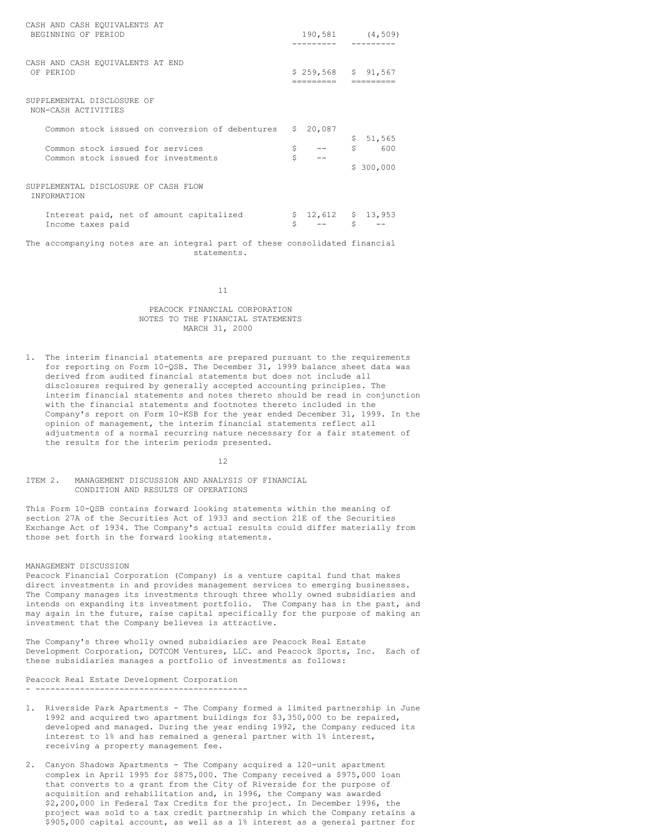| CASH AND CASH EQUIVALENTS AT<br>BEGINNING OF PERIOD                         |         | 190,581 (4,509)                   |          |                            |  |
|-----------------------------------------------------------------------------|---------|-----------------------------------|----------|----------------------------|--|
| CASH AND CASH EQUIVALENTS AT END<br>OF PERIOD                               |         | $$259,568$ $$91,567$<br>_________ |          |                            |  |
| SUPPLEMENTAL DISCLOSURE OF<br>NON-CASH ACTIVITIES                           |         |                                   |          |                            |  |
| Common stock issued on conversion of debentures                             | Ŝ.      | 20,087                            |          |                            |  |
| Common stock issued for services<br>Common stock issued for investments     | \$<br>Ś |                                   | Ş.<br>\$ | 51,565<br>600<br>\$300,000 |  |
| SUPPLEMENTAL DISCLOSURE OF CASH FLOW<br><b>TNFORMATION</b>                  |         |                                   |          |                            |  |
| Interest paid, net of amount capitalized<br>Income taxes paid               | Ś       | \$12,612                          | Š.       | \$13,953                   |  |
| The accompanying notes are an integral part of these consolidated financial |         |                                   |          |                            |  |

11

statements.

# PEACOCK FINANCIAL CORPORATION NOTES TO THE FINANCIAL STATEMENTS MARCH 31, 2000

1. The interim financial statements are prepared pursuant to the requirements for reporting on Form 10-QSB. The December 31, 1999 balance sheet data was derived from audited financial statements but does not include all disclosures required by generally accepted accounting principles. The interim financial statements and notes thereto should be read in conjunction with the financial statements and footnotes thereto included in the Company's report on Form 10-KSB for the year ended December 31, 1999. In the opinion of management, the interim financial statements reflect all adjustments of a normal recurring nature necessary for a fair statement of the results for the interim periods presented.

12

ITEM 2. MANAGEMENT DISCUSSION AND ANALYSIS OF FINANCIAL CONDITION AND RESULTS OF OPERATIONS

This Form 10-QSB contains forward looking statements within the meaning of section 27A of the Securities Act of 1933 and section 21E of the Securities Exchange Act of 1934. The Company's actual results could differ materially from those set forth in the forward looking statements.

#### MANAGEMENT DISCUSSION

Peacock Financial Corporation (Company) is a venture capital fund that makes direct investments in and provides management services to emerging businesses. The Company manages its investments through three wholly owned subsidiaries and intends on expanding its investment portfolio. The Company has in the past, and may again in the future, raise capital specifically for the purpose of making an investment that the Company believes is attractive.

The Company's three wholly owned subsidiaries are Peacock Real Estate Development Corporation, DOTCOM Ventures, LLC. and Peacock Sports, Inc. Each of these subsidiaries manages a portfolio of investments as follows:

Peacock Real Estate Development Corporation - -------------------------------------------

- 1. Riverside Park Apartments The Company formed a limited partnership in June 1992 and acquired two apartment buildings for \$3,350,000 to be repaired, developed and managed. During the year ending 1992, the Company reduced its interest to 1% and has remained a general partner with 1% interest, receiving a property management fee.
- 2. Canyon Shadows Apartments The Company acquired a 120-unit apartment complex in April 1995 for \$875,000. The Company received a \$975,000 loan that converts to a grant from the City of Riverside for the purpose of acquisition and rehabilitation and, in 1996, the Company was awarded \$2,200,000 in Federal Tax Credits for the project. In December 1996, the project was sold to a tax credit partnership in which the Company retains a \$905,000 capital account, as well as a 1% interest as a general partner for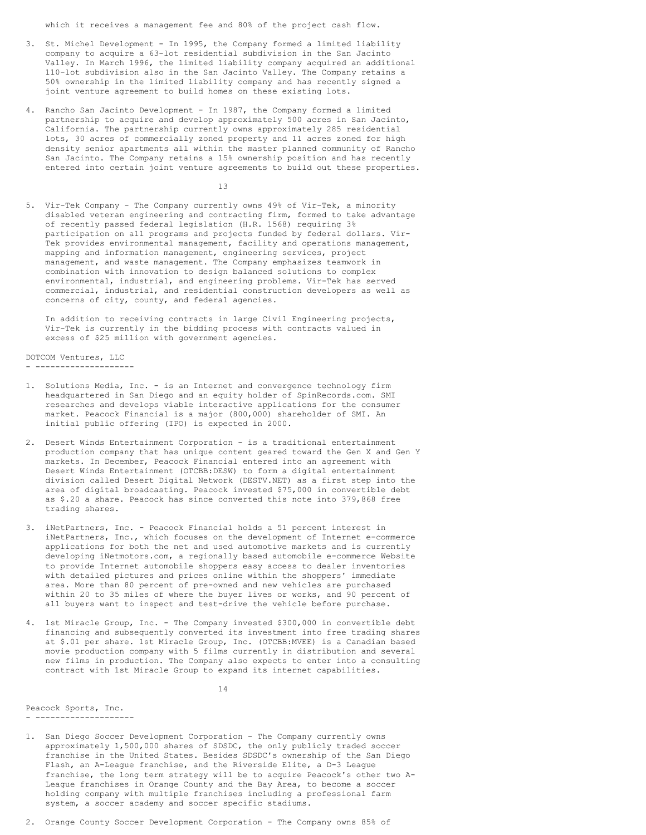which it receives a management fee and 80% of the project cash flow.

- 3. St. Michel Development In 1995, the Company formed a limited liability company to acquire a 63-lot residential subdivision in the San Jacinto Valley. In March 1996, the limited liability company acquired an additional 110-lot subdivision also in the San Jacinto Valley. The Company retains a 50% ownership in the limited liability company and has recently signed a joint venture agreement to build homes on these existing lots.
- 4. Rancho San Jacinto Development In 1987, the Company formed a limited partnership to acquire and develop approximately 500 acres in San Jacinto, California. The partnership currently owns approximately 285 residential lots, 30 acres of commercially zoned property and 11 acres zoned for high density senior apartments all within the master planned community of Rancho San Jacinto. The Company retains a 15% ownership position and has recently entered into certain joint venture agreements to build out these properties.

13

5. Vir-Tek Company - The Company currently owns 49% of Vir-Tek, a minority disabled veteran engineering and contracting firm, formed to take advantage of recently passed federal legislation (H.R. 1568) requiring 3% participation on all programs and projects funded by federal dollars. Vir-Tek provides environmental management, facility and operations management, mapping and information management, engineering services, project management, and waste management. The Company emphasizes teamwork in combination with innovation to design balanced solutions to complex environmental, industrial, and engineering problems. Vir-Tek has served commercial, industrial, and residential construction developers as well as concerns of city, county, and federal agencies.

In addition to receiving contracts in large Civil Engineering projects, Vir-Tek is currently in the bidding process with contracts valued in excess of \$25 million with government agencies.

DOTCOM Ventures, LLC - --------------------

- 1. Solutions Media, Inc. is an Internet and convergence technology firm headquartered in San Diego and an equity holder of SpinRecords.com. SMI researches and develops viable interactive applications for the consumer market. Peacock Financial is a major (800,000) shareholder of SMI. An initial public offering (IPO) is expected in 2000.
- 2. Desert Winds Entertainment Corporation is a traditional entertainment production company that has unique content geared toward the Gen X and Gen Y markets. In December, Peacock Financial entered into an agreement with Desert Winds Entertainment (OTCBB:DESW) to form a digital entertainment division called Desert Digital Network (DESTV.NET) as a first step into the area of digital broadcasting. Peacock invested \$75,000 in convertible debt as \$.20 a share. Peacock has since converted this note into 379,868 free trading shares.
- 3. iNetPartners, Inc. Peacock Financial holds a 51 percent interest in iNetPartners, Inc., which focuses on the development of Internet e-commerce applications for both the net and used automotive markets and is currently developing iNetmotors.com, a regionally based automobile e-commerce Website to provide Internet automobile shoppers easy access to dealer inventories with detailed pictures and prices online within the shoppers' immediate area. More than 80 percent of pre-owned and new vehicles are purchased within 20 to 35 miles of where the buyer lives or works, and 90 percent of all buyers want to inspect and test-drive the vehicle before purchase.
- 4. 1st Miracle Group, Inc. The Company invested \$300,000 in convertible debt financing and subsequently converted its investment into free trading shares at \$.01 per share. 1st Miracle Group, Inc. (OTCBB:MVEE) is a Canadian based movie production company with 5 films currently in distribution and several new films in production. The Company also expects to enter into a consulting contract with 1st Miracle Group to expand its internet capabilities.

14

Peacock Sports, Inc. - --------------------

- 1. San Diego Soccer Development Corporation The Company currently owns approximately 1,500,000 shares of SDSDC, the only publicly traded soccer franchise in the United States. Besides SDSDC's ownership of the San Diego Flash, an A-League franchise, and the Riverside Elite, a D-3 League franchise, the long term strategy will be to acquire Peacock's other two A-League franchises in Orange County and the Bay Area, to become a soccer holding company with multiple franchises including a professional farm system, a soccer academy and soccer specific stadiums.
- 2. Orange County Soccer Development Corporation The Company owns 85% of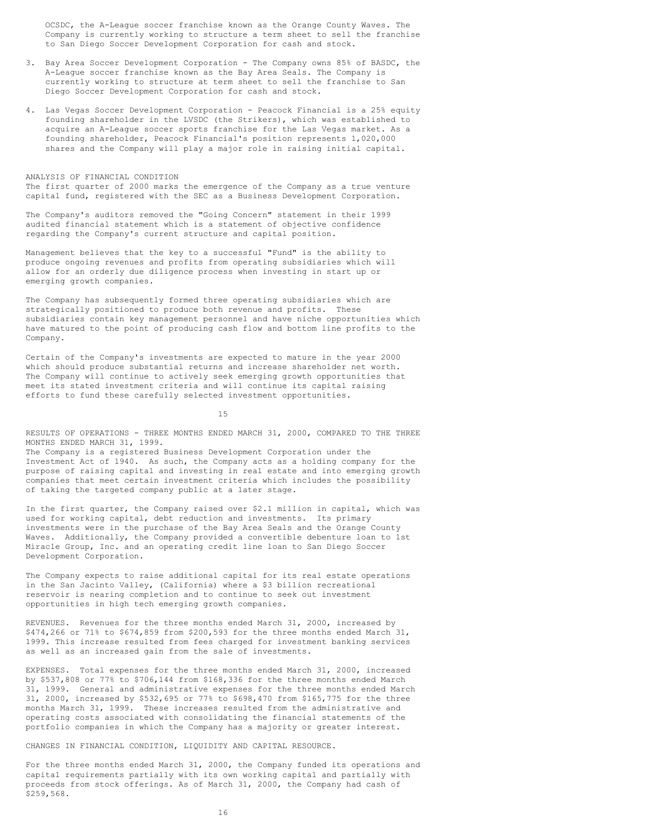OCSDC, the A-League soccer franchise known as the Orange County Waves. The Company is currently working to structure a term sheet to sell the franchise to San Diego Soccer Development Corporation for cash and stock.

- 3. Bay Area Soccer Development Corporation The Company owns 85% of BASDC, the A-League soccer franchise known as the Bay Area Seals. The Company is currently working to structure at term sheet to sell the franchise to San Diego Soccer Development Corporation for cash and stock.
- 4. Las Vegas Soccer Development Corporation Peacock Financial is a 25% equity founding shareholder in the LVSDC (the Strikers), which was established to acquire an A-League soccer sports franchise for the Las Vegas market. As a founding shareholder, Peacock Financial's position represents 1,020,000 shares and the Company will play a major role in raising initial capital.

ANALYSIS OF FINANCIAL CONDITION The first quarter of 2000 marks the emergence of the Company as a true venture capital fund, registered with the SEC as a Business Development Corporation.

The Company's auditors removed the "Going Concern" statement in their 1999 audited financial statement which is a statement of objective confidence regarding the Company's current structure and capital position.

Management believes that the key to a successful "Fund" is the ability to produce ongoing revenues and profits from operating subsidiaries which will allow for an orderly due diligence process when investing in start up or emerging growth companies.

The Company has subsequently formed three operating subsidiaries which are strategically positioned to produce both revenue and profits. These subsidiaries contain key management personnel and have niche opportunities which have matured to the point of producing cash flow and bottom line profits to the Company.

Certain of the Company's investments are expected to mature in the year 2000 which should produce substantial returns and increase shareholder net worth. The Company will continue to actively seek emerging growth opportunities that meet its stated investment criteria and will continue its capital raising efforts to fund these carefully selected investment opportunities.

15

RESULTS OF OPERATIONS - THREE MONTHS ENDED MARCH 31, 2000, COMPARED TO THE THREE MONTHS ENDED MARCH 31, 1999.

The Company is a registered Business Development Corporation under the Investment Act of 1940. As such, the Company acts as a holding company for the purpose of raising capital and investing in real estate and into emerging growth companies that meet certain investment criteria which includes the possibility of taking the targeted company public at a later stage.

In the first quarter, the Company raised over \$2.1 million in capital, which was used for working capital, debt reduction and investments. Its primary investments were in the purchase of the Bay Area Seals and the Orange County Waves. Additionally, the Company provided a convertible debenture loan to 1st Miracle Group, Inc. and an operating credit line loan to San Diego Soccer Development Corporation.

The Company expects to raise additional capital for its real estate operations in the San Jacinto Valley, (California) where a \$3 billion recreational reservoir is nearing completion and to continue to seek out investment opportunities in high tech emerging growth companies.

REVENUES. Revenues for the three months ended March 31, 2000, increased by \$474,266 or 71% to \$674,859 from \$200,593 for the three months ended March 31, 1999. This increase resulted from fees charged for investment banking services as well as an increased gain from the sale of investments.

EXPENSES. Total expenses for the three months ended March 31, 2000, increased by \$537,808 or 77% to \$706,144 from \$168,336 for the three months ended March 31, 1999. General and administrative expenses for the three months ended March 31, 2000, increased by \$532,695 or 77% to \$698,470 from \$165,775 for the three months March 31, 1999. These increases resulted from the administrative and operating costs associated with consolidating the financial statements of the portfolio companies in which the Company has a majority or greater interest.

CHANGES IN FINANCIAL CONDITION, LIQUIDITY AND CAPITAL RESOURCE.

For the three months ended March 31, 2000, the Company funded its operations and capital requirements partially with its own working capital and partially with proceeds from stock offerings. As of March 31, 2000, the Company had cash of \$259,568.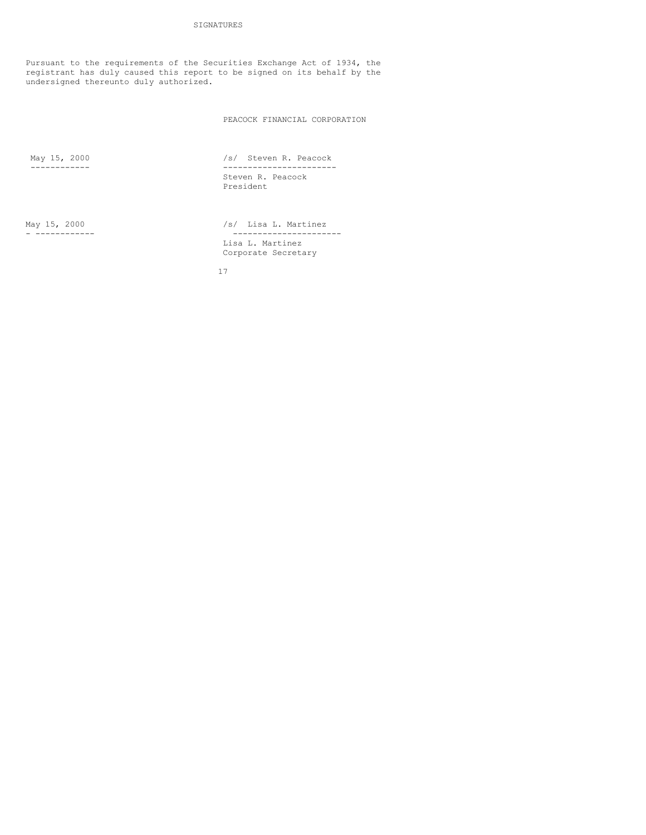Pursuant to the requirements of the Securities Exchange Act of 1934, the registrant has duly caused this report to be signed on its behalf by the undersigned thereunto duly authorized.

PEACOCK FINANCIAL CORPORATION

May 15, 2000 /s/ Steven R. Peacock ------------ ----------------------- Steven R. Peacock President

May 15, 2000 /s/ Lisa L. Martinez - ------------ ---------------------- Lisa L. Martinez Corporate Secretary

17